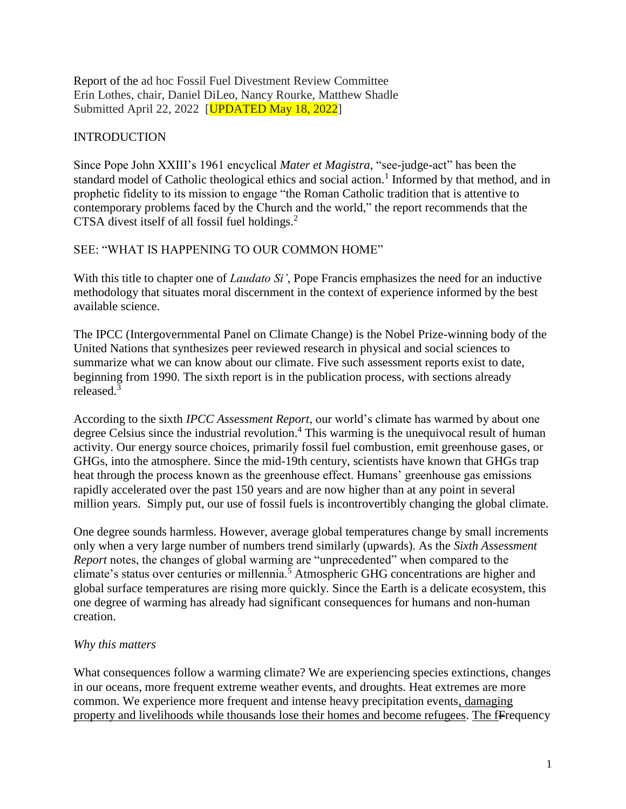Report of the ad hoc Fossil Fuel Divestment Review Committee Erin Lothes, chair, Daniel DiLeo, Nancy Rourke, Matthew Shadle Submitted April 22, 2022 [UPDATED May 18, 2022]

### INTRODUCTION

Since Pope John XXIII's 1961 encyclical *Mater et Magistra*, "see-judge-act" has been the standard model of Catholic theological ethics and social action.<sup>1</sup> Informed by that method, and in prophetic fidelity to its mission to engage "the Roman Catholic tradition that is attentive to contemporary problems faced by the Church and the world," the report recommends that the CTSA divest itself of all fossil fuel holdings.<sup>2</sup>

### SEE: "WHAT IS HAPPENING TO OUR COMMON HOME"

With this title to chapter one of *Laudato Si'*, Pope Francis emphasizes the need for an inductive methodology that situates moral discernment in the context of experience informed by the best available science.

The IPCC (Intergovernmental Panel on Climate Change) is the Nobel Prize-winning body of the United Nations that synthesizes peer reviewed research in physical and social sciences to summarize what we can know about our climate. Five such assessment reports exist to date, beginning from 1990. The sixth report is in the publication process, with sections already released. 3

According to the sixth *IPCC Assessment Report*, our world's climate has warmed by about one degree Celsius since the industrial revolution.<sup>4</sup> This warming is the unequivocal result of human activity. Our energy source choices, primarily fossil fuel combustion, emit greenhouse gases, or GHGs, into the atmosphere. Since the mid-19th century, scientists have known that GHGs trap heat through the process known as the greenhouse effect. Humans' greenhouse gas emissions rapidly accelerated over the past 150 years and are now higher than at any point in several million years. Simply put, our use of fossil fuels is incontrovertibly changing the global climate.

One degree sounds harmless. However, average global temperatures change by small increments only when a very large number of numbers trend similarly (upwards). As the *Sixth Assessment Report* notes, the changes of global warming are "unprecedented" when compared to the climate's status over centuries or millennia.<sup>5</sup> Atmospheric GHG concentrations are higher and global surface temperatures are rising more quickly. Since the Earth is a delicate ecosystem, this one degree of warming has already had significant consequences for humans and non-human creation.

#### *Why this matters*

What consequences follow a warming climate? We are experiencing species extinctions, changes in our oceans, more frequent extreme weather events, and droughts. Heat extremes are more common. We experience more frequent and intense heavy precipitation events, damaging property and livelihoods while thousands lose their homes and become refugees. The fFrequency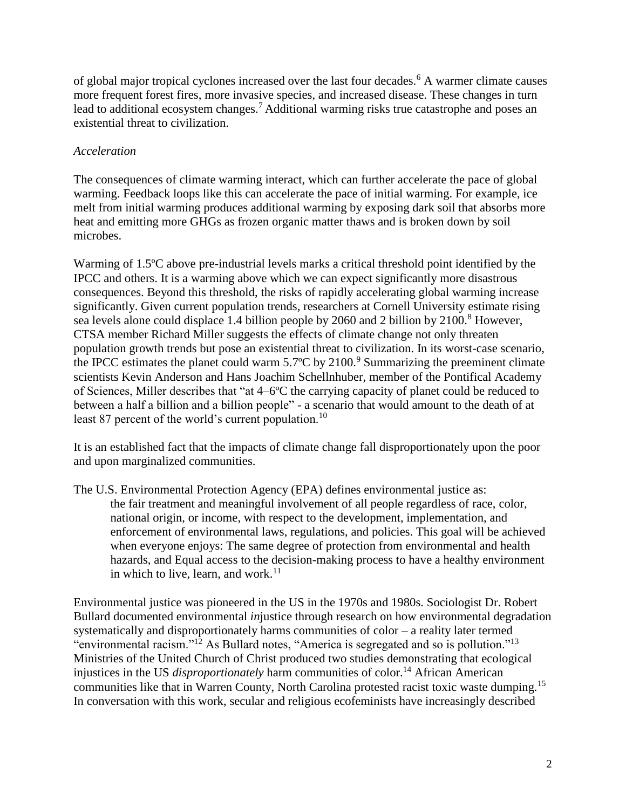of global major tropical cyclones increased over the last four decades.<sup>6</sup> A warmer climate causes more frequent forest fires, more invasive species, and increased disease. These changes in turn lead to additional ecosystem changes.<sup>7</sup> Additional warming risks true catastrophe and poses an existential threat to civilization.

## *Acceleration*

The consequences of climate warming interact, which can further accelerate the pace of global warming. Feedback loops like this can accelerate the pace of initial warming. For example, ice melt from initial warming produces additional warming by exposing dark soil that absorbs more heat and emitting more GHGs as frozen organic matter thaws and is broken down by soil microbes.

Warming of 1.5ºC above pre-industrial levels marks a critical threshold point identified by the IPCC and others. It is a warming above which we can expect significantly more disastrous consequences. Beyond this threshold, the risks of rapidly accelerating global warming increase significantly. Given current population trends, researchers at Cornell University estimate rising sea levels alone could displace 1.4 billion people by 2060 and 2 billion by 2100.<sup>8</sup> However, CTSA member Richard Miller suggests the effects of climate change not only threaten population growth trends but pose an existential threat to civilization. In its worst-case scenario, the IPCC estimates the planet could warm  $5.7^{\circ}$ C by  $2100.^9$  Summarizing the preeminent climate scientists Kevin Anderson and Hans Joachim Schellnhuber, member of the Pontifical Academy of Sciences, Miller describes that "at 4–6ºC the carrying capacity of planet could be reduced to between a half a billion and a billion people" - a scenario that would amount to the death of at least 87 percent of the world's current population.<sup>10</sup>

It is an established fact that the impacts of climate change fall disproportionately upon the poor and upon marginalized communities.

The U.S. Environmental Protection Agency (EPA) defines environmental justice as: the fair treatment and meaningful involvement of all people regardless of race, color, national origin, or income, with respect to the development, implementation, and enforcement of environmental laws, regulations, and policies. This goal will be achieved when everyone enjoys: The same degree of protection from environmental and health hazards, and Equal access to the decision-making process to have a healthy environment in which to live, learn, and work. $11$ 

Environmental justice was pioneered in the US in the 1970s and 1980s. Sociologist Dr. Robert Bullard documented environmental *in*justice through research on how environmental degradation systematically and disproportionately harms communities of color – a reality later termed "environmental racism."<sup>12</sup> As Bullard notes, "America is segregated and so is pollution."<sup>13</sup> Ministries of the United Church of Christ produced two studies demonstrating that ecological injustices in the US *disproportionately* harm communities of color.<sup>14</sup> African American communities like that in Warren County, North Carolina protested racist toxic waste dumping.<sup>15</sup> In conversation with this work, secular and religious ecofeminists have increasingly described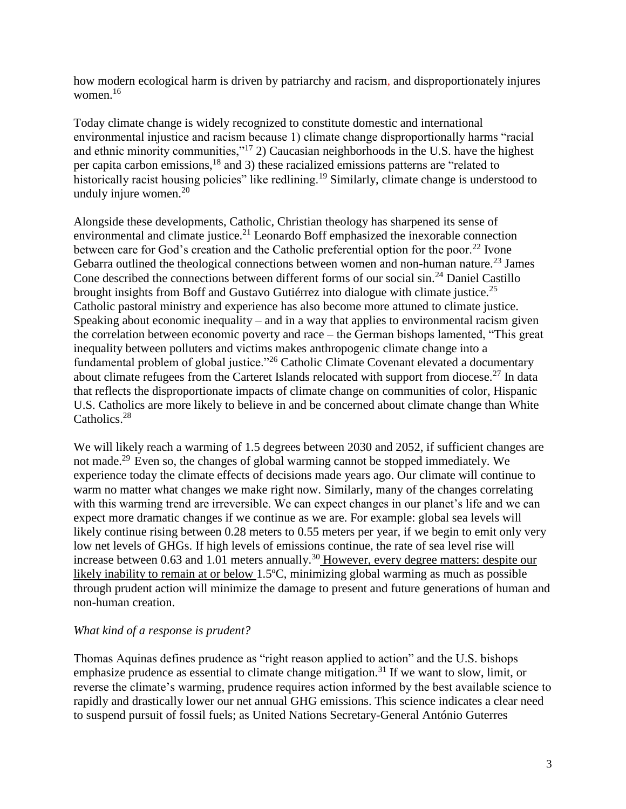how modern ecological harm is driven by patriarchy and racism, and disproportionately injures women.<sup>16</sup>

Today climate change is widely recognized to constitute domestic and international environmental injustice and racism because 1) climate change disproportionally harms "racial and ethnic minority communities,"<sup>17</sup> 2) Caucasian neighborhoods in the U.S. have the highest per capita carbon emissions,<sup>18</sup> and 3) these racialized emissions patterns are "related to historically racist housing policies" like redlining.<sup>19</sup> Similarly, climate change is understood to unduly injure women. $20$ 

Alongside these developments, Catholic, Christian theology has sharpened its sense of environmental and climate justice.<sup>21</sup> Leonardo Boff emphasized the inexorable connection between care for God's creation and the Catholic preferential option for the poor.<sup>22</sup> Ivone Gebarra outlined the theological connections between women and non-human nature.<sup>23</sup> James Cone described the connections between different forms of our social sin.<sup>24</sup> Daniel Castillo brought insights from Boff and Gustavo Gutiérrez into dialogue with climate justice.<sup>25</sup> Catholic pastoral ministry and experience has also become more attuned to climate justice. Speaking about economic inequality – and in a way that applies to environmental racism given the correlation between economic poverty and race – the German bishops lamented, "This great inequality between polluters and victims makes anthropogenic climate change into a fundamental problem of global justice."<sup>26</sup> Catholic Climate Covenant elevated a documentary about climate refugees from the Carteret Islands relocated with support from diocese.<sup>27</sup> In data that reflects the disproportionate impacts of climate change on communities of color, Hispanic U.S. Catholics are more likely to believe in and be concerned about climate change than White Catholics.<sup>28</sup>

We will likely reach a warming of 1.5 degrees between 2030 and 2052, if sufficient changes are not made.<sup>29</sup> Even so, the changes of global warming cannot be stopped immediately. We experience today the climate effects of decisions made years ago. Our climate will continue to warm no matter what changes we make right now. Similarly, many of the changes correlating with this warming trend are irreversible. We can expect changes in our planet's life and we can expect more dramatic changes if we continue as we are. For example: global sea levels will likely continue rising between 0.28 meters to 0.55 meters per year, if we begin to emit only very low net levels of GHGs. If high levels of emissions continue, the rate of sea level rise will increase between 0.63 and 1.01 meters annually.<sup>30</sup> However, every degree matters: despite our likely inability to remain at or below 1.5ºC, minimizing global warming as much as possible through prudent action will minimize the damage to present and future generations of human and non-human creation.

## *What kind of a response is prudent?*

Thomas Aquinas defines prudence as "right reason applied to action" and the U.S. bishops emphasize prudence as essential to climate change mitigation.<sup>31</sup> If we want to slow, limit, or reverse the climate's warming, prudence requires action informed by the best available science to rapidly and drastically lower our net annual GHG emissions. This science indicates a clear need to suspend pursuit of fossil fuels; as United Nations Secretary-General António Guterres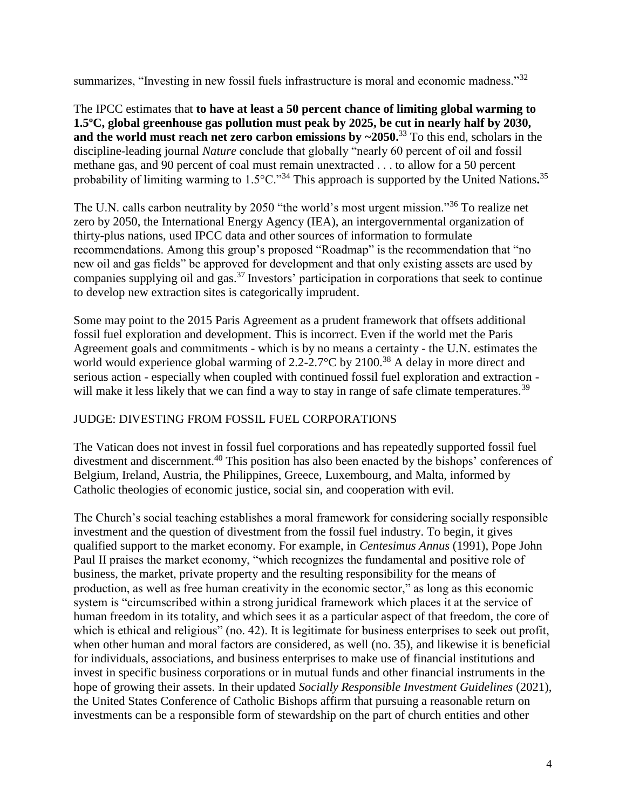summarizes, "Investing in new fossil fuels infrastructure is moral and economic madness."<sup>32</sup>

The IPCC estimates that **to have at least a 50 percent chance of limiting global warming to 1.5ºC, global greenhouse gas pollution must peak by 2025, be cut in nearly half by 2030, and the world must reach net zero carbon emissions by ~2050.**<sup>33</sup> To this end, scholars in the discipline-leading journal *Nature* conclude that globally "nearly 60 percent of oil and fossil methane gas, and 90 percent of coal must remain unextracted . . . to allow for a 50 percent probability of limiting warming to 1.5°C."<sup>34</sup> This approach is supported by the United Nations.<sup>35</sup>

The U.N. calls carbon neutrality by 2050 "the world's most urgent mission."<sup>36</sup> To realize net zero by 2050, the International Energy Agency (IEA), an intergovernmental organization of thirty-plus nations, used IPCC data and other sources of information to formulate recommendations. Among this group's proposed "Roadmap" is the recommendation that "no new oil and gas fields" be approved for development and that only existing assets are used by companies supplying oil and gas. <sup>37</sup> Investors' participation in corporations that seek to continue to develop new extraction sites is categorically imprudent.

Some may point to the 2015 Paris Agreement as a prudent framework that offsets additional fossil fuel exploration and development. This is incorrect. Even if the world met the Paris Agreement goals and commitments - which is by no means a certainty - the U.N. estimates the world would experience global warming of 2.2-2.7 $\rm{°C}$  by 2100.<sup>38</sup> A delay in more direct and serious action - especially when coupled with continued fossil fuel exploration and extraction will make it less likely that we can find a way to stay in range of safe climate temperatures.<sup>39</sup>

# JUDGE: DIVESTING FROM FOSSIL FUEL CORPORATIONS

The Vatican does not invest in fossil fuel corporations and has repeatedly supported fossil fuel divestment and discernment.<sup>40</sup> This position has also been enacted by the bishops' conferences of Belgium, Ireland, Austria, the Philippines, Greece, Luxembourg, and Malta, informed by Catholic theologies of economic justice, social sin, and cooperation with evil.

The Church's social teaching establishes a moral framework for considering socially responsible investment and the question of divestment from the fossil fuel industry. To begin, it gives qualified support to the market economy. For example, in *Centesimus Annus* (1991), Pope John Paul II praises the market economy, "which recognizes the fundamental and positive role of business, the market, private property and the resulting responsibility for the means of production, as well as free human creativity in the economic sector," as long as this economic system is "circumscribed within a strong juridical framework which places it at the service of human freedom in its totality, and which sees it as a particular aspect of that freedom, the core of which is ethical and religious" (no. 42). It is legitimate for business enterprises to seek out profit, when other human and moral factors are considered, as well (no. 35), and likewise it is beneficial for individuals, associations, and business enterprises to make use of financial institutions and invest in specific business corporations or in mutual funds and other financial instruments in the hope of growing their assets. In their updated *Socially Responsible Investment Guidelines* (2021), the United States Conference of Catholic Bishops affirm that pursuing a reasonable return on investments can be a responsible form of stewardship on the part of church entities and other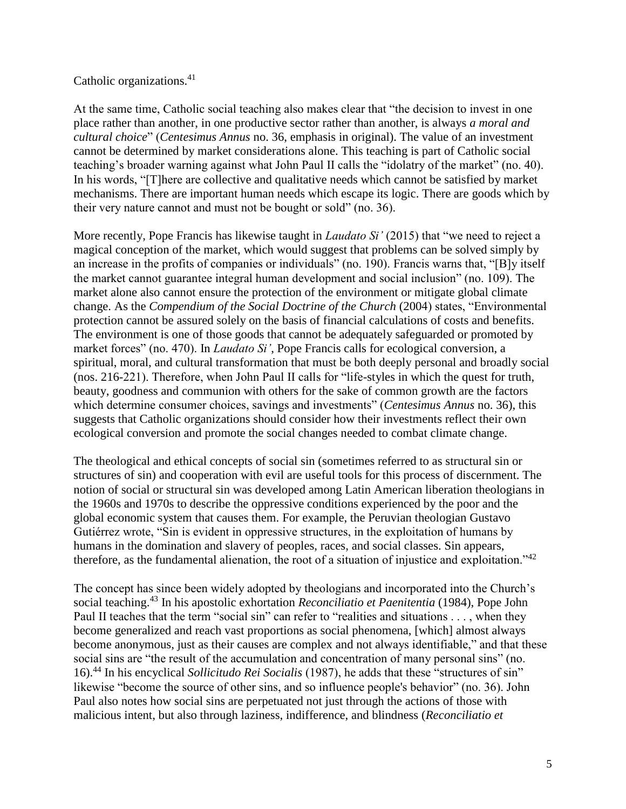## Catholic organizations.<sup>41</sup>

At the same time, Catholic social teaching also makes clear that "the decision to invest in one place rather than another, in one productive sector rather than another, is always *a moral and cultural choice*" (*Centesimus Annus* no. 36, emphasis in original). The value of an investment cannot be determined by market considerations alone. This teaching is part of Catholic social teaching's broader warning against what John Paul II calls the "idolatry of the market" (no. 40). In his words, "[T]here are collective and qualitative needs which cannot be satisfied by market mechanisms. There are important human needs which escape its logic. There are goods which by their very nature cannot and must not be bought or sold" (no. 36).

More recently, Pope Francis has likewise taught in *Laudato Si'* (2015) that "we need to reject a magical conception of the market, which would suggest that problems can be solved simply by an increase in the profits of companies or individuals" (no. 190). Francis warns that, "[B]y itself the market cannot guarantee integral human development and social inclusion" (no. 109). The market alone also cannot ensure the protection of the environment or mitigate global climate change. As the *Compendium of the Social Doctrine of the Church* (2004) states, "Environmental protection cannot be assured solely on the basis of financial calculations of costs and benefits. The environment is one of those goods that cannot be adequately safeguarded or promoted by market forces" (no. 470). In *Laudato Si'*, Pope Francis calls for ecological conversion, a spiritual, moral, and cultural transformation that must be both deeply personal and broadly social (nos. 216-221). Therefore, when John Paul II calls for "life-styles in which the quest for truth, beauty, goodness and communion with others for the sake of common growth are the factors which determine consumer choices, savings and investments" (*Centesimus Annus* no. 36), this suggests that Catholic organizations should consider how their investments reflect their own ecological conversion and promote the social changes needed to combat climate change.

The theological and ethical concepts of social sin (sometimes referred to as structural sin or structures of sin) and cooperation with evil are useful tools for this process of discernment. The notion of social or structural sin was developed among Latin American liberation theologians in the 1960s and 1970s to describe the oppressive conditions experienced by the poor and the global economic system that causes them. For example, the Peruvian theologian Gustavo Gutiérrez wrote, "Sin is evident in oppressive structures, in the exploitation of humans by humans in the domination and slavery of peoples, races, and social classes. Sin appears, therefore, as the fundamental alienation, the root of a situation of injustice and exploitation."<sup>42</sup>

The concept has since been widely adopted by theologians and incorporated into the Church's social teaching.<sup>43</sup> In his apostolic exhortation *Reconciliatio et Paenitentia* (1984), Pope John Paul II teaches that the term "social sin" can refer to "realities and situations . . . , when they become generalized and reach vast proportions as social phenomena, [which] almost always become anonymous, just as their causes are complex and not always identifiable," and that these social sins are "the result of the accumulation and concentration of many personal sins" (no. 16).<sup>44</sup> In his encyclical *Sollicitudo Rei Socialis* (1987), he adds that these "structures of sin" likewise "become the source of other sins, and so influence people's behavior" (no. 36). John Paul also notes how social sins are perpetuated not just through the actions of those with malicious intent, but also through laziness, indifference, and blindness (*Reconciliatio et*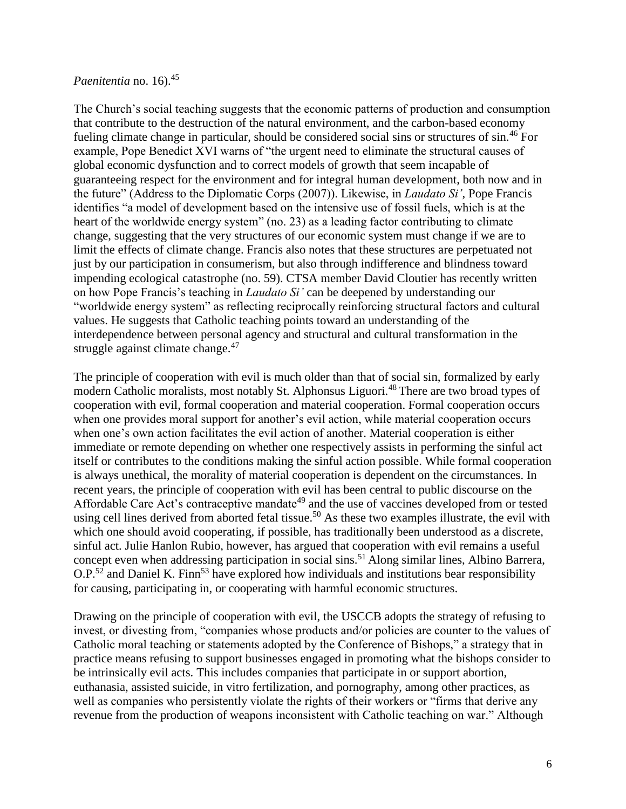## *Paenitentia* no. 16).<sup>45</sup>

The Church's social teaching suggests that the economic patterns of production and consumption that contribute to the destruction of the natural environment, and the carbon-based economy fueling climate change in particular, should be considered social sins or structures of sin.<sup>46</sup> For example, Pope Benedict XVI warns of "the urgent need to eliminate the structural causes of global economic dysfunction and to correct models of growth that seem incapable of guaranteeing respect for the environment and for integral human development, both now and in the future" (Address to the Diplomatic Corps (2007)). Likewise, in *Laudato Si'*, Pope Francis identifies "a model of development based on the intensive use of fossil fuels, which is at the heart of the worldwide energy system" (no. 23) as a leading factor contributing to climate change, suggesting that the very structures of our economic system must change if we are to limit the effects of climate change. Francis also notes that these structures are perpetuated not just by our participation in consumerism, but also through indifference and blindness toward impending ecological catastrophe (no. 59). CTSA member David Cloutier has recently written on how Pope Francis's teaching in *Laudato Si'* can be deepened by understanding our "worldwide energy system" as reflecting reciprocally reinforcing structural factors and cultural values. He suggests that Catholic teaching points toward an understanding of the interdependence between personal agency and structural and cultural transformation in the struggle against climate change.<sup>47</sup>

The principle of cooperation with evil is much older than that of social sin, formalized by early modern Catholic moralists, most notably St. Alphonsus Liguori.<sup>48</sup> There are two broad types of cooperation with evil, formal cooperation and material cooperation. Formal cooperation occurs when one provides moral support for another's evil action, while material cooperation occurs when one's own action facilitates the evil action of another. Material cooperation is either immediate or remote depending on whether one respectively assists in performing the sinful act itself or contributes to the conditions making the sinful action possible. While formal cooperation is always unethical, the morality of material cooperation is dependent on the circumstances. In recent years, the principle of cooperation with evil has been central to public discourse on the Affordable Care Act's contraceptive mandate<sup>49</sup> and the use of vaccines developed from or tested using cell lines derived from aborted fetal tissue.<sup>50</sup> As these two examples illustrate, the evil with which one should avoid cooperating, if possible, has traditionally been understood as a discrete, sinful act. Julie Hanlon Rubio, however, has argued that cooperation with evil remains a useful concept even when addressing participation in social sins.<sup>51</sup> Along similar lines, Albino Barrera,  $O.P.<sup>52</sup>$  and Daniel K. Finn<sup>53</sup> have explored how individuals and institutions bear responsibility for causing, participating in, or cooperating with harmful economic structures.

Drawing on the principle of cooperation with evil, the USCCB adopts the strategy of refusing to invest, or divesting from, "companies whose products and/or policies are counter to the values of Catholic moral teaching or statements adopted by the Conference of Bishops," a strategy that in practice means refusing to support businesses engaged in promoting what the bishops consider to be intrinsically evil acts. This includes companies that participate in or support abortion, euthanasia, assisted suicide, in vitro fertilization, and pornography, among other practices, as well as companies who persistently violate the rights of their workers or "firms that derive any revenue from the production of weapons inconsistent with Catholic teaching on war." Although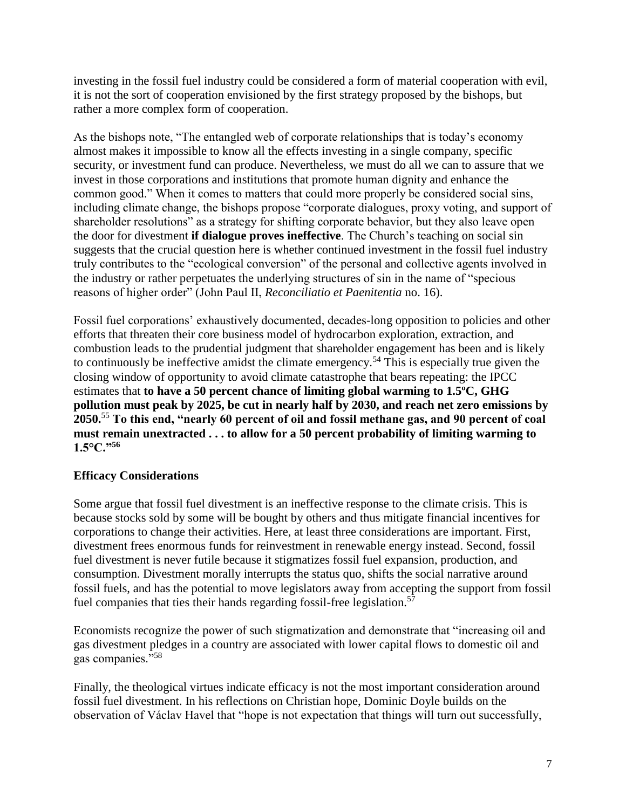investing in the fossil fuel industry could be considered a form of material cooperation with evil, it is not the sort of cooperation envisioned by the first strategy proposed by the bishops, but rather a more complex form of cooperation.

As the bishops note, "The entangled web of corporate relationships that is today's economy almost makes it impossible to know all the effects investing in a single company, specific security, or investment fund can produce. Nevertheless, we must do all we can to assure that we invest in those corporations and institutions that promote human dignity and enhance the common good." When it comes to matters that could more properly be considered social sins, including climate change, the bishops propose "corporate dialogues, proxy voting, and support of shareholder resolutions" as a strategy for shifting corporate behavior, but they also leave open the door for divestment **if dialogue proves ineffective**. The Church's teaching on social sin suggests that the crucial question here is whether continued investment in the fossil fuel industry truly contributes to the "ecological conversion" of the personal and collective agents involved in the industry or rather perpetuates the underlying structures of sin in the name of "specious reasons of higher order" (John Paul II, *Reconciliatio et Paenitentia* no. 16).

Fossil fuel corporations' exhaustively documented, decades-long opposition to policies and other efforts that threaten their core business model of hydrocarbon exploration, extraction, and combustion leads to the prudential judgment that shareholder engagement has been and is likely to continuously be ineffective amidst the climate emergency.<sup>54</sup> This is especially true given the closing window of opportunity to avoid climate catastrophe that bears repeating: the IPCC estimates that **to have a 50 percent chance of limiting global warming to 1.5ºC, GHG pollution must peak by 2025, be cut in nearly half by 2030, and reach net zero emissions by 2050.**<sup>55</sup> **To this end, "nearly 60 percent of oil and fossil methane gas, and 90 percent of coal must remain unextracted . . . to allow for a 50 percent probability of limiting warming to 1.5°C."<sup>56</sup>**

## **Efficacy Considerations**

Some argue that fossil fuel divestment is an ineffective response to the climate crisis. This is because stocks sold by some will be bought by others and thus mitigate financial incentives for corporations to change their activities. Here, at least three considerations are important. First, divestment frees enormous funds for reinvestment in renewable energy instead. Second, fossil fuel divestment is never futile because it stigmatizes fossil fuel expansion, production, and consumption. Divestment morally interrupts the status quo, shifts the social narrative around fossil fuels, and has the potential to move legislators away from accepting the support from fossil fuel companies that ties their hands regarding fossil-free legislation.<sup>57</sup>

Economists recognize the power of such stigmatization and demonstrate that "increasing oil and gas divestment pledges in a country are associated with lower capital flows to domestic oil and gas companies."<sup>58</sup>

Finally, the theological virtues indicate efficacy is not the most important consideration around fossil fuel divestment. In his reflections on Christian hope, Dominic Doyle builds on the observation of Václav Havel that "hope is not expectation that things will turn out successfully,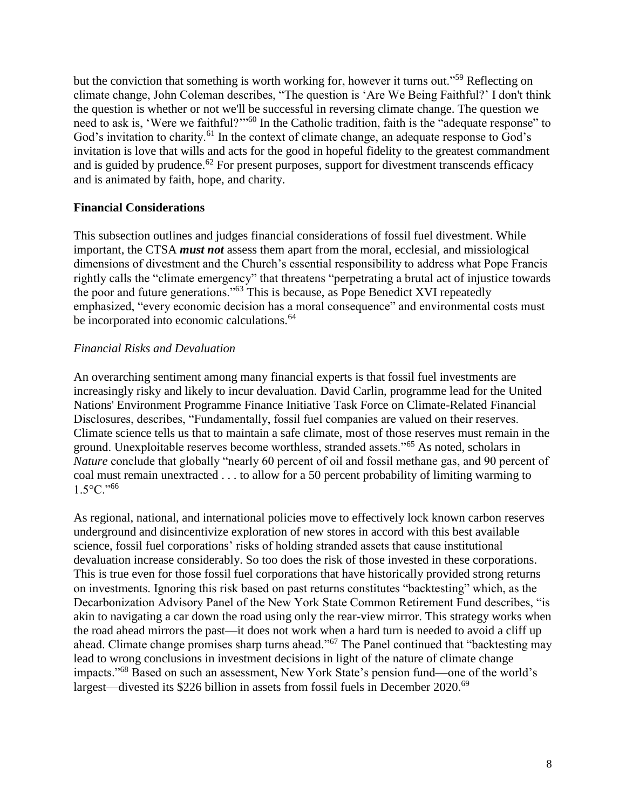but the conviction that something is worth working for, however it turns out."<sup>59</sup> Reflecting on climate change, John Coleman describes, "The question is 'Are We Being Faithful?' I don't think the question is whether or not we'll be successful in reversing climate change. The question we need to ask is, 'Were we faithful?'"<sup>60</sup> In the Catholic tradition, faith is the "adequate response" to God's invitation to charity.<sup>61</sup> In the context of climate change, an adequate response to God's invitation is love that wills and acts for the good in hopeful fidelity to the greatest commandment and is guided by prudence.<sup>62</sup> For present purposes, support for divestment transcends efficacy and is animated by faith, hope, and charity.

### **Financial Considerations**

This subsection outlines and judges financial considerations of fossil fuel divestment. While important, the CTSA *must not* assess them apart from the moral, ecclesial, and missiological dimensions of divestment and the Church's essential responsibility to address what Pope Francis rightly calls the "climate emergency" that threatens "perpetrating a brutal act of injustice towards the poor and future generations."<sup>63</sup> This is because, as Pope Benedict XVI repeatedly emphasized, "every economic decision has a moral consequence" and environmental costs must be incorporated into economic calculations.<sup>64</sup>

### *Financial Risks and Devaluation*

An overarching sentiment among many financial experts is that fossil fuel investments are increasingly risky and likely to incur devaluation. David Carlin, programme lead for the United Nations' Environment Programme Finance Initiative Task Force on Climate-Related Financial Disclosures, describes, "Fundamentally, fossil fuel companies are valued on their reserves. Climate science tells us that to maintain a safe climate, most of those reserves must remain in the ground. Unexploitable reserves become worthless, stranded assets."<sup>65</sup> As noted, scholars in *Nature* conclude that globally "nearly 60 percent of oil and fossil methane gas, and 90 percent of coal must remain unextracted . . . to allow for a 50 percent probability of limiting warming to  $1.5^{\circ}$ C."<sup>66</sup>

As regional, national, and international policies move to effectively lock known carbon reserves underground and disincentivize exploration of new stores in accord with this best available science, fossil fuel corporations' risks of holding stranded assets that cause institutional devaluation increase considerably. So too does the risk of those invested in these corporations. This is true even for those fossil fuel corporations that have historically provided strong returns on investments. Ignoring this risk based on past returns constitutes "backtesting" which, as the Decarbonization Advisory Panel of the New York State Common Retirement Fund describes, "is akin to navigating a car down the road using only the rear-view mirror. This strategy works when the road ahead mirrors the past—it does not work when a hard turn is needed to avoid a cliff up ahead. Climate change promises sharp turns ahead."<sup>67</sup> The Panel continued that "backtesting may lead to wrong conclusions in investment decisions in light of the nature of climate change impacts."<sup>68</sup> Based on such an assessment, New York State's pension fund—one of the world's largest—divested its \$226 billion in assets from fossil fuels in December 2020.<sup>69</sup>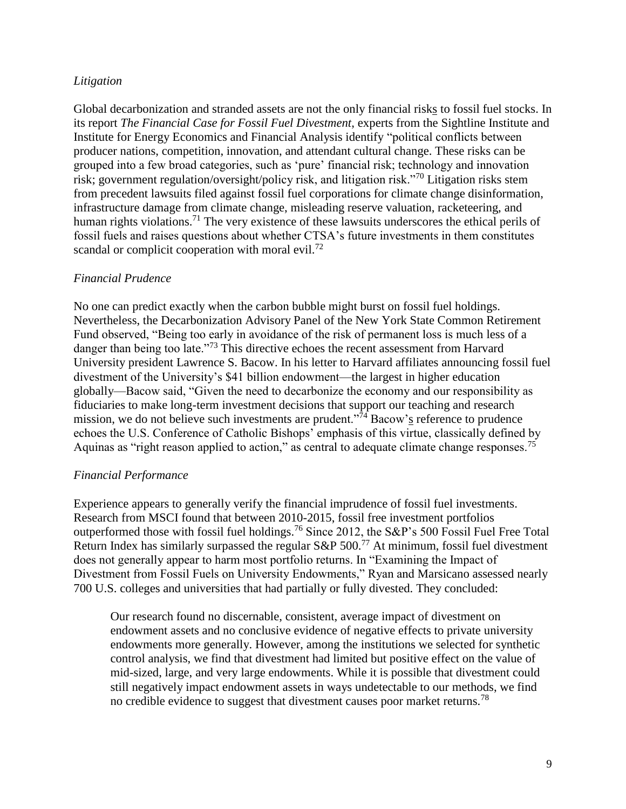### *Litigation*

Global decarbonization and stranded assets are not the only financial risks to fossil fuel stocks. In its report *The Financial Case for Fossil Fuel Divestment*, experts from the Sightline Institute and Institute for Energy Economics and Financial Analysis identify "political conflicts between producer nations, competition, innovation, and attendant cultural change. These risks can be grouped into a few broad categories, such as 'pure' financial risk; technology and innovation risk; government regulation/oversight/policy risk, and litigation risk."<sup>70</sup> Litigation risks stem from precedent lawsuits filed against fossil fuel corporations for climate change disinformation, infrastructure damage from climate change, misleading reserve valuation, racketeering, and human rights violations.<sup>71</sup> The very existence of these lawsuits underscores the ethical perils of fossil fuels and raises questions about whether CTSA's future investments in them constitutes scandal or complicit cooperation with moral evil.<sup>72</sup>

### *Financial Prudence*

No one can predict exactly when the carbon bubble might burst on fossil fuel holdings. Nevertheless, the Decarbonization Advisory Panel of the New York State Common Retirement Fund observed, "Being too early in avoidance of the risk of permanent loss is much less of a danger than being too late."<sup>73</sup> This directive echoes the recent assessment from Harvard University president Lawrence S. Bacow. In his letter to Harvard affiliates announcing fossil fuel divestment of the University's \$41 billion endowment—the largest in higher education globally—Bacow said, "Given the need to decarbonize the economy and our responsibility as fiduciaries to make long-term investment decisions that support our teaching and research mission, we do not believe such investments are prudent." $\overline{7}$ <sup>4</sup> Bacow's reference to prudence echoes the U.S. Conference of Catholic Bishops' emphasis of this virtue, classically defined by Aquinas as "right reason applied to action," as central to adequate climate change responses.<sup>75</sup>

## *Financial Performance*

Experience appears to generally verify the financial imprudence of fossil fuel investments. Research from MSCI found that between 2010-2015, fossil free investment portfolios outperformed those with fossil fuel holdings.<sup>76</sup> Since 2012, the S&P's 500 Fossil Fuel Free Total Return Index has similarly surpassed the regular  $S\&P 500$ .<sup>77</sup> At minimum, fossil fuel divestment does not generally appear to harm most portfolio returns. In "Examining the Impact of Divestment from Fossil Fuels on University Endowments," Ryan and Marsicano assessed nearly 700 U.S. colleges and universities that had partially or fully divested. They concluded:

Our research found no discernable, consistent, average impact of divestment on endowment assets and no conclusive evidence of negative effects to private university endowments more generally. However, among the institutions we selected for synthetic control analysis, we find that divestment had limited but positive effect on the value of mid-sized, large, and very large endowments. While it is possible that divestment could still negatively impact endowment assets in ways undetectable to our methods, we find no credible evidence to suggest that divestment causes poor market returns.<sup>78</sup>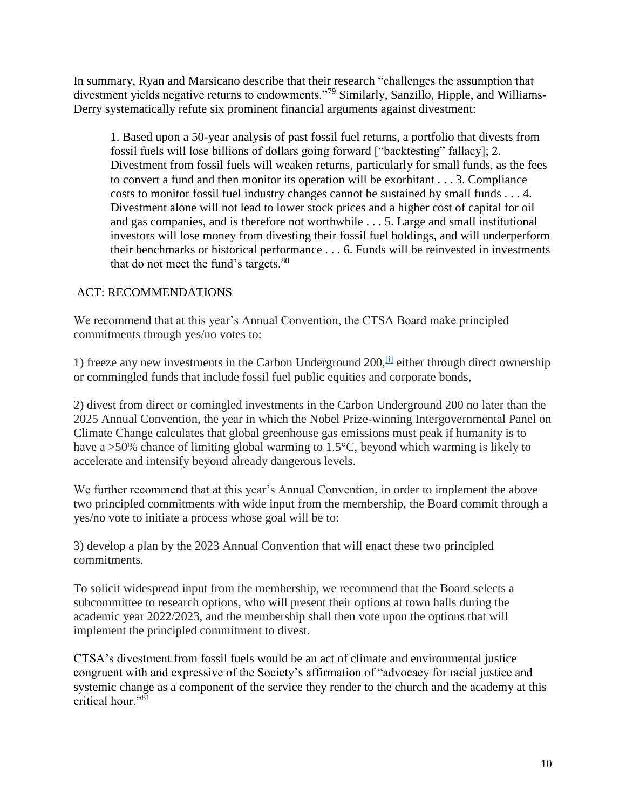In summary, Ryan and Marsicano describe that their research "challenges the assumption that divestment yields negative returns to endowments."<sup>79</sup> Similarly, Sanzillo, Hipple, and Williams-Derry systematically refute six prominent financial arguments against divestment:

1. Based upon a 50-year analysis of past fossil fuel returns, a portfolio that divests from fossil fuels will lose billions of dollars going forward ["backtesting" fallacy]; 2. Divestment from fossil fuels will weaken returns, particularly for small funds, as the fees to convert a fund and then monitor its operation will be exorbitant . . . 3. Compliance costs to monitor fossil fuel industry changes cannot be sustained by small funds . . . 4. Divestment alone will not lead to lower stock prices and a higher cost of capital for oil and gas companies, and is therefore not worthwhile . . . 5. Large and small institutional investors will lose money from divesting their fossil fuel holdings, and will underperform their benchmarks or historical performance . . . 6. Funds will be reinvested in investments that do not meet the fund's targets. $80$ 

## ACT: RECOMMENDATIONS

We recommend that at this year's Annual Convention, the CTSA Board make principled commitments through yes/no votes to:

1) freeze any new investments in the Carbon Underground  $200$ ,  $\overline{u}$  either through direct ownership or commingled funds that include fossil fuel public equities and corporate bonds,

2) divest from direct or comingled investments in the Carbon Underground 200 no later than the 2025 Annual Convention, the year in which the Nobel Prize-winning Intergovernmental Panel on Climate Change calculates that global greenhouse gas emissions must peak if humanity is to have a >50% chance of limiting global warming to 1.5°C, beyond which warming is likely to accelerate and intensify beyond already dangerous levels.

We further recommend that at this year's Annual Convention, in order to implement the above two principled commitments with wide input from the membership, the Board commit through a yes/no vote to initiate a process whose goal will be to:

3) develop a plan by the 2023 Annual Convention that will enact these two principled commitments.

To solicit widespread input from the membership, we recommend that the Board selects a subcommittee to research options, who will present their options at town halls during the academic year 2022/2023, and the membership shall then vote upon the options that will implement the principled commitment to divest.

CTSA's divestment from fossil fuels would be an act of climate and environmental justice congruent with and expressive of the Society's affirmation of "advocacy for racial justice and systemic change as a component of the service they render to the church and the academy at this critical hour."<sup>81</sup>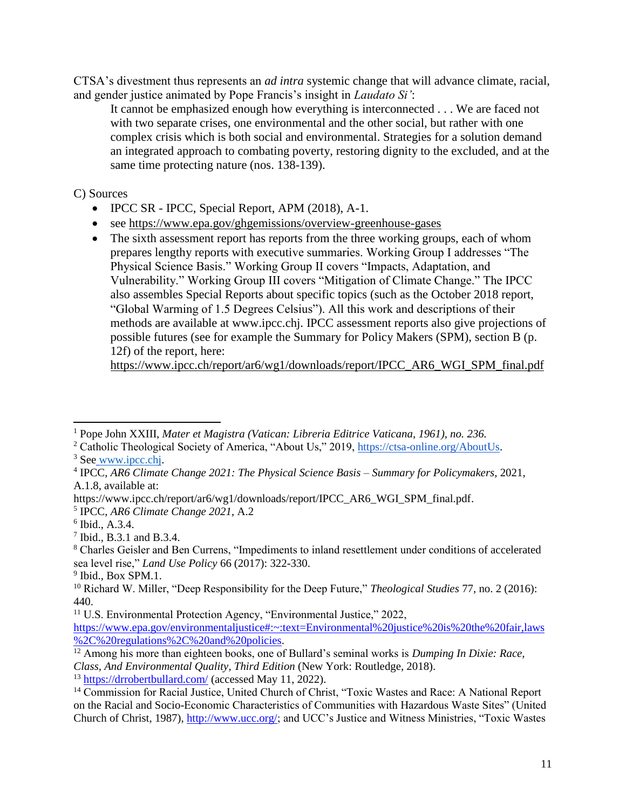CTSA's divestment thus represents an *ad intra* systemic change that will advance climate, racial, and gender justice animated by Pope Francis's insight in *Laudato Si'*:

It cannot be emphasized enough how everything is interconnected . . . We are faced not with two separate crises, one environmental and the other social, but rather with one complex crisis which is both social and environmental. Strategies for a solution demand an integrated approach to combating poverty, restoring dignity to the excluded, and at the same time protecting nature (nos. 138-139).

C) Sources

- IPCC SR IPCC, Special Report, APM (2018), A-1.
- see <https://www.epa.gov/ghgemissions/overview-greenhouse-gases>
- The sixth assessment report has reports from the three working groups, each of whom prepares lengthy reports with executive summaries. Working Group I addresses "The Physical Science Basis." Working Group II covers "Impacts, Adaptation, and Vulnerability." Working Group III covers "Mitigation of Climate Change." The IPCC also assembles Special Reports about specific topics (such as the October 2018 report, "Global Warming of 1.5 Degrees Celsius"). All this work and descriptions of their methods are available at www.ipcc.chj. IPCC assessment reports also give projections of possible futures (see for example the Summary for Policy Makers (SPM), section B (p. 12f) of the report, here:

[https://www.ipcc.ch/report/ar6/wg1/downloads/report/IPCC\\_AR6\\_WGI\\_SPM\\_final.pdf](https://www.ipcc.ch/report/ar6/wg1/downloads/report/IPCC_AR6_WGI_SPM_final.pdf)

<sup>1</sup> Pope John XXIII, *Mater et Magistra (Vatican: Libreria Editrice Vaticana, 1961), no. 236.* 

<sup>2</sup> Catholic Theological Society of America, "About Us," 2019, [https://ctsa-online.org/AboutUs.](https://ctsa-online.org/AboutUs)

<sup>&</sup>lt;sup>3</sup> See [www.ipcc.chj.](http://www.ipcc.chj/)

<sup>4</sup> IPCC, *AR6 Climate Change 2021: The Physical Science Basis – Summary for Policymakers,* 2021, A.1.8, available at:

https://www.ipcc.ch/report/ar6/wg1/downloads/report/IPCC\_AR6\_WGI\_SPM\_final.pdf.

<sup>5</sup> IPCC, *AR6 Climate Change 2021*, A.2

<sup>6</sup> Ibid., A.3.4.

<sup>7</sup> Ibid., B.3.1 and B.3.4.

<sup>8</sup> Charles Geisler and Ben Currens, "Impediments to inland resettlement under conditions of accelerated sea level rise," *Land Use Policy* 66 (2017): 322-330.

<sup>&</sup>lt;sup>9</sup> Ibid., Box SPM.1.

<sup>10</sup> Richard W. Miller, "Deep Responsibility for the Deep Future," *Theological Studies* 77, no. 2 (2016): 440.

<sup>&</sup>lt;sup>11</sup> U.S. Environmental Protection Agency, "Environmental Justice," 2022,

[https://www.epa.gov/environmentaljustice#:~:text=Environmental%20justice%20is%20the%20fair,laws](https://www.epa.gov/environmentaljustice#:~:text=Environmental%20justice%20is%20the%20fair,laws%2C%20regulations%2C%20and%20policies) [%2C%20regulations%2C%20and%20policies.](https://www.epa.gov/environmentaljustice#:~:text=Environmental%20justice%20is%20the%20fair,laws%2C%20regulations%2C%20and%20policies)

<sup>12</sup> Among his more than eighteen books, one of Bullard's seminal works is *Dumping In Dixie: Race, Class, And Environmental Quality, Third Edition* (New York: Routledge, 2018).

<sup>13</sup> <https://drrobertbullard.com/> (accessed May 11, 2022).

<sup>&</sup>lt;sup>14</sup> Commission for Racial Justice, United Church of Christ, "Toxic Wastes and Race: A National Report on the Racial and Socio-Economic Characteristics of Communities with Hazardous Waste Sites" (United Church of Christ, 1987), [http://www.ucc.org/;](http://www.ucc.org/) and UCC's Justice and Witness Ministries, "Toxic Wastes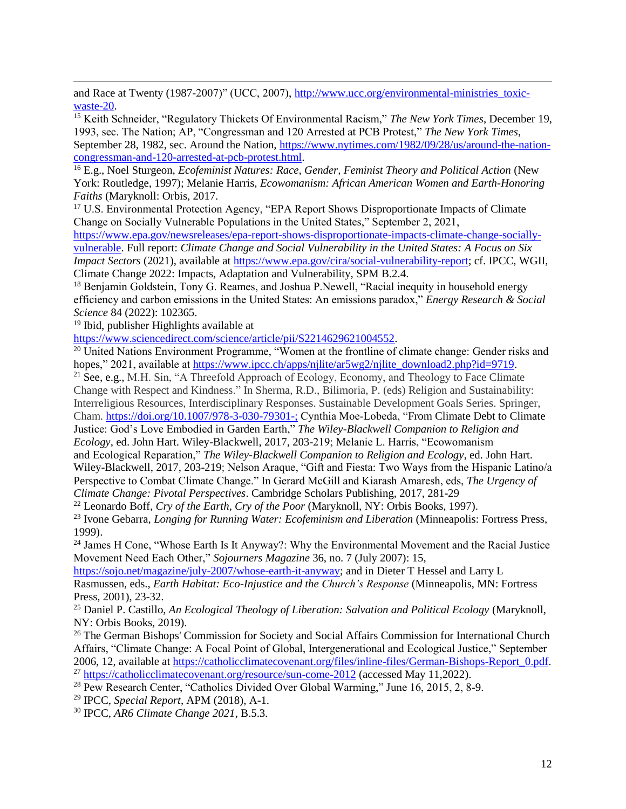and Race at Twenty (1987-2007)" (UCC, 2007), http://www.ucc.org/environmental-ministries toxic[waste-20.](http://www.ucc.org/environmental-ministries_toxic-waste-20)

<sup>15</sup> Keith Schneider, "Regulatory Thickets Of Environmental Racism," *The New York Times*, December 19, 1993, sec. The Nation; AP, "Congressman and 120 Arrested at PCB Protest," *The New York Times*, September 28, 1982, sec. Around the Nation, [https://www.nytimes.com/1982/09/28/us/around-the-nation](https://www.nytimes.com/1982/09/28/us/around-the-nation-congressman-and-120-arrested-at-pcb-protest.html)[congressman-and-120-arrested-at-pcb-protest.html.](https://www.nytimes.com/1982/09/28/us/around-the-nation-congressman-and-120-arrested-at-pcb-protest.html)

<sup>16</sup> E.g., Noel Sturgeon, *Ecofeminist Natures: Race, Gender, Feminist Theory and Political Action* (New York: Routledge, 1997); Melanie Harris, *Ecowomanism: African American Women and Earth-Honoring Faiths* (Maryknoll: Orbis, 2017.

<sup>17</sup> U.S. Environmental Protection Agency, "EPA Report Shows Disproportionate Impacts of Climate Change on Socially Vulnerable Populations in the United States," September 2, 2021,

[https://www.epa.gov/newsreleases/epa-report-shows-disproportionate-impacts-climate-change-socially](https://www.epa.gov/newsreleases/epa-report-shows-disproportionate-impacts-climate-change-socially-vulnerable)[vulnerable.](https://www.epa.gov/newsreleases/epa-report-shows-disproportionate-impacts-climate-change-socially-vulnerable) Full report: *Climate Change and Social Vulnerability in the United States: A Focus on Six Impact Sectors* (2021), available at [https://www.epa.gov/cira/social-vulnerability-report;](https://www.epa.gov/cira/social-vulnerability-report) cf. IPCC, WGII, Climate Change 2022: Impacts, Adaptation and Vulnerability, SPM B.2.4.

<sup>18</sup> Benjamin Goldstein, Tony G. Reames, and Joshua P. Newell, "Racial inequity in household energy efficiency and carbon emissions in the United States: An emissions paradox," *Energy Research & Social Science* 84 (2022): 102365.

<sup>19</sup> Ibid, publisher Highlights available at

[https://www.sciencedirect.com/science/article/pii/S2214629621004552.](https://www.sciencedirect.com/science/article/pii/S2214629621004552)

<sup>20</sup> United Nations Environment Programme, "Women at the frontline of climate change: Gender risks and hopes," 2021, available a[t https://www.ipcc.ch/apps/njlite/ar5wg2/njlite\\_download2.php?id=9719.](https://www.ipcc.ch/apps/njlite/ar5wg2/njlite_download2.php?id=9719)

<sup>21</sup> See, e.g., M.H. Sin, "A Threefold Approach of Ecology, Economy, and Theology to Face Climate Change with Respect and Kindness." In Sherma, R.D., Bilimoria, P. (eds) Religion and Sustainability: Interreligious Resources, Interdisciplinary Responses. Sustainable Development Goals Series. Springer, Cham. [https://doi.org/10.1007/978-3-030-79301-;](https://doi.org/10.1007/978-3-030-79301-) Cynthia Moe‐Lobeda, "From Climate Debt to Climate Justice: God's Love Embodied in Garden Earth," *The Wiley-Blackwell Companion to Religion and Ecology*, ed. John Hart. Wiley-Blackwell, 2017, 203-219; Melanie L. Harris, "Ecowomanism and Ecological Reparation," *The Wiley-Blackwell Companion to Religion and Ecology*, ed. John Hart. Wiley-Blackwell, 2017, 203-219; Nelson Araque, "Gift and Fiesta: Two Ways from the Hispanic Latino/a Perspective to Combat Climate Change." In Gerard McGill and Kiarash Amaresh, eds, *The Urgency of Climate Change: Pivotal Perspectives*. Cambridge Scholars Publishing, 2017, 281-29

<sup>22</sup> Leonardo Boff, *Cry of the Earth, Cry of the Poor* (Maryknoll, NY: Orbis Books, 1997).

<sup>23</sup> Ivone Gebarra, *Longing for Running Water: Ecofeminism and Liberation* (Minneapolis: Fortress Press, 1999).

<sup>24</sup> James H Cone, "Whose Earth Is It Anyway?: Why the Environmental Movement and the Racial Justice Movement Need Each Other," *Sojourners Magazine* 36, no. 7 (July 2007): 15,

[https://sojo.net/magazine/july-2007/whose-earth-it-anyway;](https://sojo.net/magazine/july-2007/whose-earth-it-anyway) and in Dieter T Hessel and Larry L Rasmussen, eds., *Earth Habitat: Eco-Injustice and the Church's Response* (Minneapolis, MN: Fortress Press, 2001), 23-32.

<sup>25</sup> Daniel P. Castillo, *An Ecological Theology of Liberation: Salvation and Political Ecology* (Maryknoll, NY: Orbis Books, 2019).

<sup>26</sup> The German Bishops' Commission for Society and Social Affairs Commission for International Church Affairs, "Climate Change: A Focal Point of Global, Intergenerational and Ecological Justice," September 2006, 12, available at [https://catholicclimatecovenant.org/files/inline-files/German-Bishops-Report\\_0.pdf.](https://catholicclimatecovenant.org/files/inline-files/German-Bishops-Report_0.pdf) <sup>27</sup> <https://catholicclimatecovenant.org/resource/sun-come-2012> (accessed May 11,2022).

<sup>28</sup> Pew Research Center, "Catholics Divided Over Global Warming," June 16, 2015, 2, 8-9.

<sup>29</sup> IPCC, *Special Report*, APM (2018), A-1.

<sup>30</sup> IPCC, *AR6 Climate Change 2021*, B.5.3.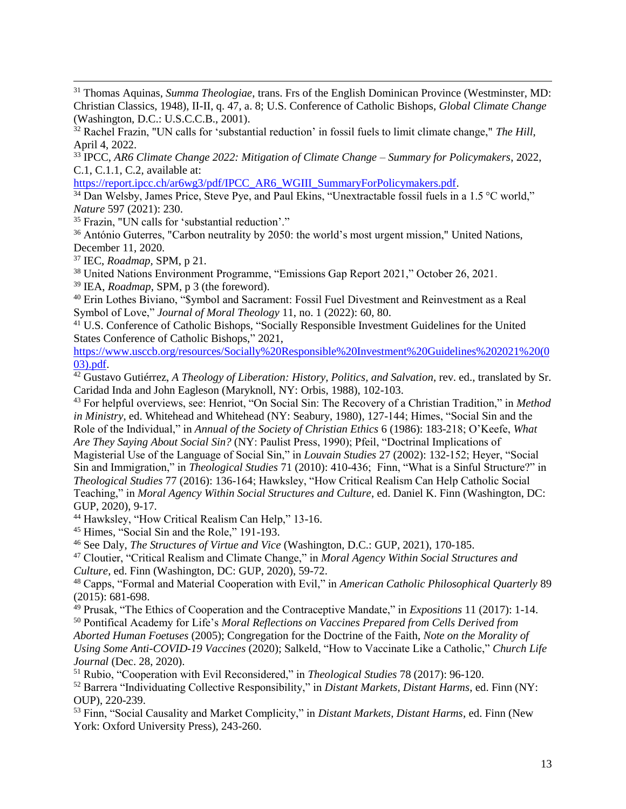<sup>31</sup> Thomas Aquinas, *Summa Theologiae*, trans. Frs of the English Dominican Province (Westminster, MD: Christian Classics, 1948), II-II, q. 47, a. 8; U.S. Conference of Catholic Bishops, *Global Climate Change* (Washington, D.C.: U.S.C.C.B., 2001).

<sup>32</sup> Rachel Frazin, "UN calls for 'substantial reduction' in fossil fuels to limit climate change," *The Hill*, April 4, 2022.

<sup>33</sup> IPCC, *AR6 Climate Change 2022: Mitigation of Climate Change* – *Summary for Policymakers*, 2022, C.1, C.1.1, C.2, available at:

[https://report.ipcc.ch/ar6wg3/pdf/IPCC\\_AR6\\_WGIII\\_SummaryForPolicymakers.pdf.](https://report.ipcc.ch/ar6wg3/pdf/IPCC_AR6_WGIII_SummaryForPolicymakers.pdf)

<sup>34</sup> Dan Welsby, James Price, Steve Pye, and Paul Ekins, "Unextractable fossil fuels in a 1.5 °C world," *Nature* 597 (2021): 230.

<sup>35</sup> Frazin, "UN calls for 'substantial reduction'."

<sup>36</sup> António Guterres, "Carbon neutrality by 2050: the world's most urgent mission," United Nations, December 11, 2020.

<sup>37</sup> IEC, *Roadmap,* SPM, p 21.

<sup>38</sup> United Nations Environment Programme, "Emissions Gap Report 2021," October 26, 2021.

<sup>39</sup> IEA, *Roadmap*, SPM, p 3 (the foreword).

<sup>40</sup> Erin Lothes Biviano, "\$ymbol and Sacrament: Fossil Fuel Divestment and Reinvestment as a Real Symbol of Love," *Journal of Moral Theology* 11, no. 1 (2022): 60, 80.

<sup>41</sup> U.S. Conference of Catholic Bishops, "Socially Responsible Investment Guidelines for the United States Conference of Catholic Bishops," 2021,

[https://www.usccb.org/resources/Socially%20Responsible%20Investment%20Guidelines%202021%20\(0](https://www.usccb.org/resources/Socially%20Responsible%20Investment%20Guidelines%202021%20(003).pdf) [03\).pdf.](https://www.usccb.org/resources/Socially%20Responsible%20Investment%20Guidelines%202021%20(003).pdf)

<sup>42</sup> Gustavo Gutiérrez, *A Theology of Liberation: History, Politics, and Salvation*, rev. ed., translated by Sr. Caridad Inda and John Eagleson (Maryknoll, NY: Orbis, 1988), 102-103.

<sup>43</sup> For helpful overviews, see: Henriot, "On Social Sin: The Recovery of a Christian Tradition," in *Method in Ministry*, ed. Whitehead and Whitehead (NY: Seabury, 1980), 127-144; Himes, "Social Sin and the Role of the Individual," in *Annual of the Society of Christian Ethics* 6 (1986): 183-218; O'Keefe, *What Are They Saying About Social Sin?* (NY: Paulist Press, 1990); Pfeil, "Doctrinal Implications of Magisterial Use of the Language of Social Sin," in *Louvain Studies* 27 (2002): 132-152; Heyer, "Social Sin and Immigration," in *Theological Studies* 71 (2010): 410-436; Finn, "What is a Sinful Structure?" in *Theological Studies* 77 (2016): 136-164; Hawksley, "How Critical Realism Can Help Catholic Social Teaching," in *Moral Agency Within Social Structures and Culture*, ed. Daniel K. Finn (Washington, DC: GUP, 2020), 9-17.

<sup>44</sup> Hawksley, "How Critical Realism Can Help," 13-16.

<sup>45</sup> Himes, "Social Sin and the Role," 191-193.

<sup>46</sup> See Daly, *The Structures of Virtue and Vice* (Washington, D.C.: GUP, 2021), 170-185.

<sup>47</sup> Cloutier, "Critical Realism and Climate Change," in *Moral Agency Within Social Structures and Culture*, ed. Finn (Washington, DC: GUP, 2020), 59-72.

<sup>48</sup> Capps, "Formal and Material Cooperation with Evil," in *American Catholic Philosophical Quarterly* 89 (2015): 681-698.

<sup>49</sup> Prusak, "The Ethics of Cooperation and the Contraceptive Mandate," in *Expositions* 11 (2017): 1-14.

<sup>50</sup> Pontifical Academy for Life's *Moral Reflections on Vaccines Prepared from Cells Derived from Aborted Human Foetuses* (2005); Congregation for the Doctrine of the Faith, *Note on the Morality of Using Some Anti-COVID-19 Vaccines* (2020); Salkeld, "How to Vaccinate Like a Catholic," *Church Life Journal* (Dec. 28, 2020).

<sup>51</sup> Rubio, "Cooperation with Evil Reconsidered," in *Theological Studies* 78 (2017): 96-120.

<sup>52</sup> Barrera "Individuating Collective Responsibility," in *Distant Markets, Distant Harms*, ed. Finn (NY: OUP), 220-239.

<sup>53</sup> Finn, "Social Causality and Market Complicity," in *Distant Markets, Distant Harms*, ed. Finn (New York: Oxford University Press), 243-260.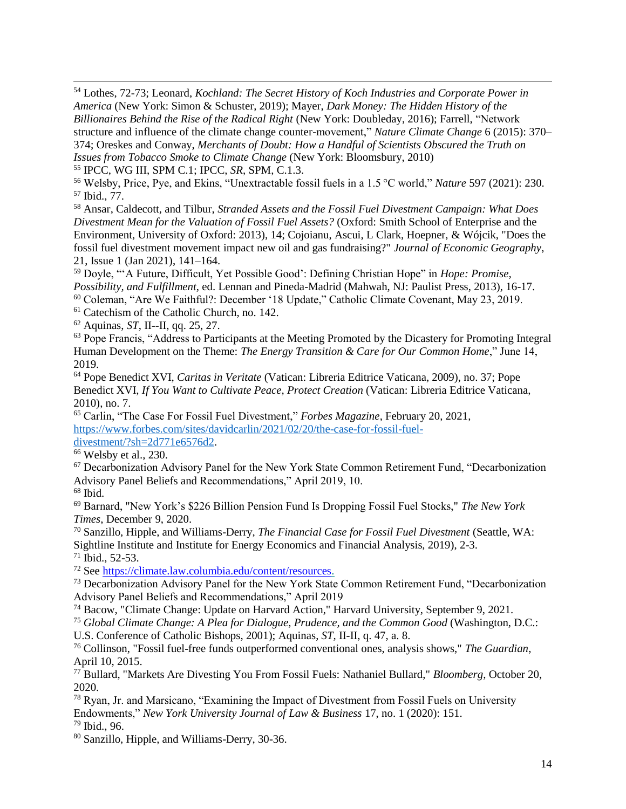<sup>54</sup> Lothes, 72-73; Leonard, *Kochland: The Secret History of Koch Industries and Corporate Power in America* (New York: Simon & Schuster, 2019); Mayer, *Dark Money: The Hidden History of the Billionaires Behind the Rise of the Radical Right* (New York: Doubleday, 2016); Farrell, "Network structure and influence of the climate change counter-movement," *Nature Climate Change* 6 (2015): 370– 374; Oreskes and Conway, *Merchants of Doubt: How a Handful of Scientists Obscured the Truth on Issues from Tobacco Smoke to Climate Change* (New York: Bloomsbury, 2010)

<sup>55</sup> IPCC, WG III, SPM C.1; IPCC, *SR*, SPM, C.1.3.

<sup>56</sup> Welsby, Price, Pye, and Ekins, "Unextractable fossil fuels in a 1.5 °C world," *Nature* 597 (2021): 230. <sup>57</sup> Ibid., 77.

<sup>58</sup> Ansar, Caldecott, and Tilbur, *Stranded Assets and the Fossil Fuel Divestment Campaign: What Does Divestment Mean for the Valuation of Fossil Fuel Assets?* (Oxford: Smith School of Enterprise and the Environment, University of Oxford: 2013), 14; Cojoianu, Ascui, L Clark, Hoepner, & Wójcik, "Does the fossil fuel divestment movement impact new oil and gas fundraising?" *Journal of Economic Geography*, 21, Issue 1 (Jan 2021), 141–164.

<sup>59</sup> Doyle, "'A Future, Difficult, Yet Possible Good': Defining Christian Hope" in *Hope: Promise, Possibility, and Fulfillment*, ed. Lennan and Pineda-Madrid (Mahwah, NJ: Paulist Press, 2013), 16-17. <sup>60</sup> Coleman, "Are We Faithful?: December '18 Update," Catholic Climate Covenant, May 23, 2019.

<sup>61</sup> Catechism of the Catholic Church, no. 142.

<sup>62</sup> Aquinas, *ST*, II--II, qq. 25, 27.

<sup>63</sup> Pope Francis, "Address to Participants at the Meeting Promoted by the Dicastery for Promoting Integral Human Development on the Theme: *The Energy Transition & Care for Our Common Home*," June 14, 2019.

<sup>64</sup> Pope Benedict XVI, *Caritas in Veritate* (Vatican: Libreria Editrice Vaticana, 2009), no. 37; Pope Benedict XVI, *If You Want to Cultivate Peace, Protect Creation* (Vatican: Libreria Editrice Vaticana, 2010), no. 7.

<sup>65</sup> Carlin, "The Case For Fossil Fuel Divestment," *Forbes Magazine*, February 20, 2021[,](https://www.forbes.com/sites/davidcarlin/2021/02/20/the-case-for-fossil-fuel-divestment/?sh=2d771e6576d2) [https://www.forbes.com/sites/davidcarlin/2021/02/20/the-case-for-fossil-fuel](https://www.forbes.com/sites/davidcarlin/2021/02/20/the-case-for-fossil-fuel-divestment/?sh=2d771e6576d2)[divestment/?sh=2d771e6576d2.](https://www.forbes.com/sites/davidcarlin/2021/02/20/the-case-for-fossil-fuel-divestment/?sh=2d771e6576d2)

<sup>66</sup> Welsby et al., 230.

<sup>67</sup> Decarbonization Advisory Panel for the New York State Common Retirement Fund, "Decarbonization Advisory Panel Beliefs and Recommendations," April 2019, 10.

<sup>68</sup> Ibid.

<sup>69</sup> Barnard, "New York's \$226 Billion Pension Fund Is Dropping Fossil Fuel Stocks," *The New York Times*, December 9, 2020.

<sup>70</sup> Sanzillo, Hipple, and Williams-Derry, *The Financial Case for Fossil Fuel Divestment* (Seattle, WA: Sightline Institute and Institute for Energy Economics and Financial Analysis, 2019), 2-3.  $71$  Ibid., 52-53.

<sup>72</sup> See [https://climate.law.columbia.edu/content/resources.](https://climate.law.columbia.edu/content/resources)

<sup>73</sup> Decarbonization Advisory Panel for the New York State Common Retirement Fund, "Decarbonization Advisory Panel Beliefs and Recommendations," April 2019

<sup>74</sup> Bacow, "Climate Change: Update on Harvard Action," Harvard University, September 9, 2021.

<sup>75</sup> *Global Climate Change: A Plea for Dialogue, Prudence, and the Common Good* (Washington, D.C.:

U.S. Conference of Catholic Bishops, 2001); Aquinas, *ST,* II-II, q. 47, a. 8.

<sup>76</sup> Collinson, "Fossil fuel-free funds outperformed conventional ones, analysis shows," *The Guardian*, April 10, 2015.

<sup>77</sup> Bullard, "Markets Are Divesting You From Fossil Fuels: Nathaniel Bullard," *Bloomberg*, October 20, 2020.

<sup>78</sup> Ryan, Jr. and Marsicano, "Examining the Impact of Divestment from Fossil Fuels on University Endowments," *New York University Journal of Law & Business* 17, no. 1 (2020): 151. <sup>79</sup> Ibid., 96.

<sup>80</sup> Sanzillo, Hipple, and Williams-Derry, 30-36.